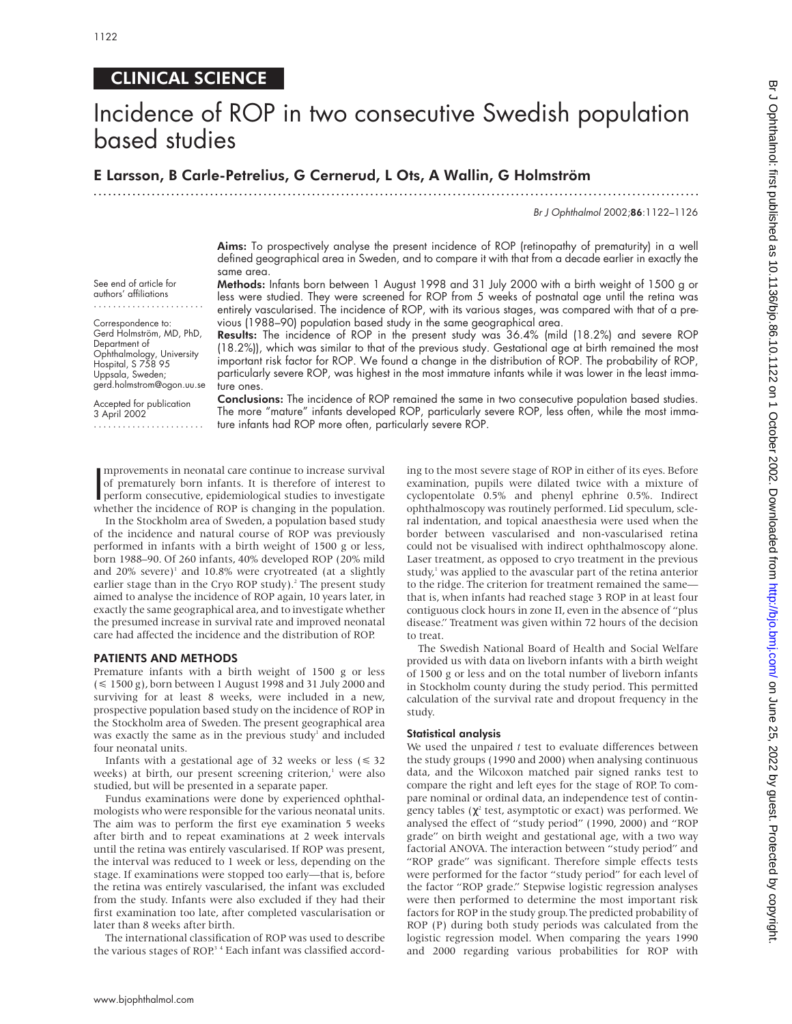# CLINICAL SCIENCE

# Incidence of ROP in two consecutive Swedish population based studies

.............................................................................................................................

# E Larsson, B Carle-Petrelius, G Cernerud, L Ots, A Wallin, G Holmström

Br J Ophthalmol 2002;86:1122–1126

Aims: To prospectively analyse the present incidence of ROP (retinopathy of prematurity) in a well defined geographical area in Sweden, and to compare it with that from a decade earlier in exactly the same area. Methods: Infants born between 1 August 1998 and 31 July 2000 with a birth weight of 1500 g or

less were studied. They were screened for ROP from 5 weeks of postnatal age until the retina was entirely vascularised. The incidence of ROP, with its various stages, was compared with that of a pre-

See end of article for authors' affiliations

Correspondence to: Gerd Holmström, MD, PhD, Department of Ophthalmology, University Hospital, S 758 95 Uppsala, Sweden; gerd.holmstrom@ogon.uu.se vious (1988–90) population based study in the same geographical area. Results: The incidence of ROP in the present study was 36.4% (mild (18.2%) and severe ROP (18.2%)), which was similar to that of the previous study. Gestational age at birth remained the most important risk factor for ROP. We found a change in the distribution of ROP. The probability of ROP, particularly severe ROP, was highest in the most immature infants while it was lower in the least immature ones.

Accepted for publication 3 April 2002 .......................

Conclusions: The incidence of ROP remained the same in two consecutive population based studies. The more "mature" infants developed ROP, particularly severe ROP, less often, while the most immature infants had ROP more often, particularly severe ROP.

mprovements in neonatal care continue to increase survival<br>of prematurely born infants. It is therefore of interest to<br>perform consecutive, epidemiological studies to investigate<br>whether the incidence of POP is changing in mprovements in neonatal care continue to increase survival of prematurely born infants. It is therefore of interest to whether the incidence of ROP is changing in the population.

In the Stockholm area of Sweden, a population based study of the incidence and natural course of ROP was previously performed in infants with a birth weight of 1500 g or less, born 1988–90. Of 260 infants, 40% developed ROP (20% mild and  $20\%$  severe)<sup>1</sup> and 10.8% were cryotreated (at a slightly earlier stage than in the Cryo ROP study).<sup>2</sup> The present study aimed to analyse the incidence of ROP again, 10 years later, in exactly the same geographical area, and to investigate whether the presumed increase in survival rate and improved neonatal care had affected the incidence and the distribution of ROP.

## PATIENTS AND METHODS

Premature infants with a birth weight of 1500 g or less  $(\leq 1500 \text{ g})$ , born between 1 August 1998 and 31 July 2000 and surviving for at least 8 weeks, were included in a new, prospective population based study on the incidence of ROP in the Stockholm area of Sweden. The present geographical area was exactly the same as in the previous study<sup>1</sup> and included four neonatal units.

Infants with a gestational age of 32 weeks or less  $(\leq 32)$ weeks) at birth, our present screening criterion, $\frac{1}{1}$  were also studied, but will be presented in a separate paper.

Fundus examinations were done by experienced ophthalmologists who were responsible for the various neonatal units. The aim was to perform the first eye examination 5 weeks after birth and to repeat examinations at 2 week intervals until the retina was entirely vascularised. If ROP was present, the interval was reduced to 1 week or less, depending on the stage. If examinations were stopped too early—that is, before the retina was entirely vascularised, the infant was excluded from the study. Infants were also excluded if they had their first examination too late, after completed vascularisation or later than 8 weeks after birth.

The international classification of ROP was used to describe the various stages of ROP.<sup>34</sup> Each infant was classified according to the most severe stage of ROP in either of its eyes. Before examination, pupils were dilated twice with a mixture of cyclopentolate 0.5% and phenyl ephrine 0.5%. Indirect ophthalmoscopy was routinely performed. Lid speculum, scleral indentation, and topical anaesthesia were used when the border between vascularised and non-vascularised retina could not be visualised with indirect ophthalmoscopy alone. Laser treatment, as opposed to cryo treatment in the previous study, $1$  was applied to the avascular part of the retina anterior to the ridge. The criterion for treatment remained the same that is, when infants had reached stage 3 ROP in at least four contiguous clock hours in zone II, even in the absence of "plus disease." Treatment was given within 72 hours of the decision to treat.

The Swedish National Board of Health and Social Welfare provided us with data on liveborn infants with a birth weight of 1500 g or less and on the total number of liveborn infants in Stockholm county during the study period. This permitted calculation of the survival rate and dropout frequency in the study.

## Statistical analysis

We used the unpaired *t* test to evaluate differences between the study groups (1990 and 2000) when analysing continuous data, and the Wilcoxon matched pair signed ranks test to compare the right and left eyes for the stage of ROP. To compare nominal or ordinal data, an independence test of contingency tables ( $\chi^2$  test, asymptotic or exact) was performed. We analysed the effect of "study period" (1990, 2000) and "ROP grade" on birth weight and gestational age, with a two way factorial ANOVA. The interaction between "study period" and "ROP grade" was significant. Therefore simple effects tests were performed for the factor "study period" for each level of the factor "ROP grade." Stepwise logistic regression analyses were then performed to determine the most important risk factors for ROP in the study group. The predicted probability of ROP (P) during both study periods was calculated from the logistic regression model. When comparing the years 1990 and 2000 regarding various probabilities for ROP with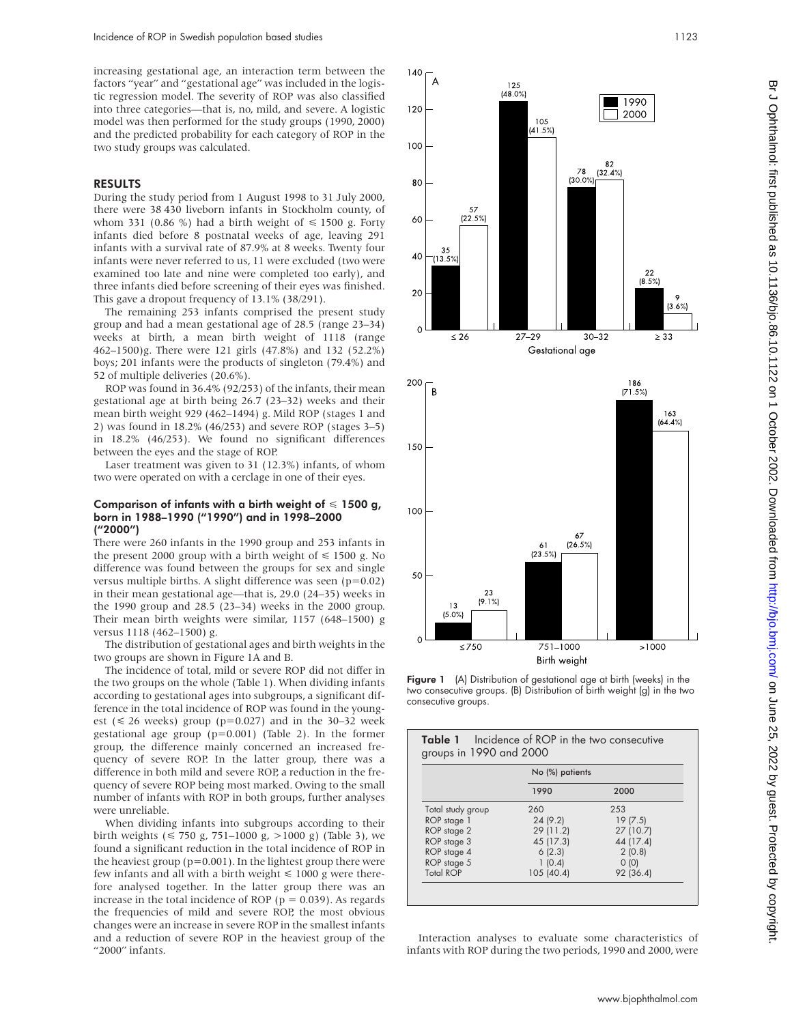increasing gestational age, an interaction term between the factors "year" and "gestational age" was included in the logistic regression model. The severity of ROP was also classified into three categories—that is, no, mild, and severe. A logistic model was then performed for the study groups (1990, 2000) and the predicted probability for each category of ROP in the two study groups was calculated.

# RESULTS

During the study period from 1 August 1998 to 31 July 2000, there were 38 430 liveborn infants in Stockholm county, of whom 331 (0.86 %) had a birth weight of  $\leq$  1500 g. Forty infants died before 8 postnatal weeks of age, leaving 291 infants with a survival rate of 87.9% at 8 weeks. Twenty four infants were never referred to us, 11 were excluded (two were examined too late and nine were completed too early), and three infants died before screening of their eyes was finished. This gave a dropout frequency of 13.1% (38/291).

The remaining 253 infants comprised the present study group and had a mean gestational age of 28.5 (range 23–34) weeks at birth, a mean birth weight of 1118 (range 462–1500)g. There were 121 girls (47.8%) and 132 (52.2%) boys; 201 infants were the products of singleton (79.4%) and 52 of multiple deliveries (20.6%).

ROP was found in 36.4% (92/253) of the infants, their mean gestational age at birth being 26.7 (23–32) weeks and their mean birth weight 929 (462–1494) g. Mild ROP (stages 1 and 2) was found in 18.2% (46/253) and severe ROP (stages 3–5) in 18.2% (46/253). We found no significant differences between the eyes and the stage of ROP.

Laser treatment was given to 31 (12.3%) infants, of whom two were operated on with a cerclage in one of their eyes.

#### Comparison of infants with a birth weight of  $\leq 1500$  g, born in 1988–1990 ("1990") and in 1998–2000 ("2000")

There were 260 infants in the 1990 group and 253 infants in the present 2000 group with a birth weight of  $\leq 1500$  g. No difference was found between the groups for sex and single versus multiple births. A slight difference was seen (p=0.02) in their mean gestational age—that is, 29.0 (24–35) weeks in the 1990 group and 28.5 (23–34) weeks in the 2000 group. Their mean birth weights were similar, 1157 (648–1500) g versus 1118 (462–1500) g.

The distribution of gestational ages and birth weights in the two groups are shown in Figure 1A and B.

The incidence of total, mild or severe ROP did not differ in the two groups on the whole (Table 1). When dividing infants according to gestational ages into subgroups, a significant difference in the total incidence of ROP was found in the youngest ( $\leq 26$  weeks) group (p=0.027) and in the 30-32 week gestational age group (p=0.001) (Table 2). In the former group, the difference mainly concerned an increased frequency of severe ROP. In the latter group, there was a difference in both mild and severe ROP, a reduction in the frequency of severe ROP being most marked. Owing to the small number of infants with ROP in both groups, further analyses were unreliable.

When dividing infants into subgroups according to their birth weights ( $\leq 750$  g, 751–1000 g,  $>1000$  g) (Table 3), we found a significant reduction in the total incidence of ROP in the heaviest group ( $p=0.001$ ). In the lightest group there were few infants and all with a birth weight  $\leq 1000$  g were therefore analysed together. In the latter group there was an increase in the total incidence of ROP ( $p = 0.039$ ). As regards the frequencies of mild and severe ROP, the most obvious changes were an increase in severe ROP in the smallest infants and a reduction of severe ROP in the heaviest group of the "2000" infants.



Figure 1 (A) Distribution of gestational age at birth (weeks) in the two consecutive groups. (B) Distribution of birth weight (g) in the two consecutive groups.

|                   | No (%) patients |           |  |
|-------------------|-----------------|-----------|--|
|                   | 1990            | 2000      |  |
| Total study group | 260             | 253       |  |
| ROP stage 1       | 24(9.2)         | 19(7.5)   |  |
| ROP stage 2       | 29 (11.2)       | 27 (10.7) |  |
| ROP stage 3       | 45 (17.3)       | 44 (17.4) |  |
| ROP stage 4       | 6(2.3)          | 2(0.8)    |  |
| ROP stage 5       | 1(0.4)          | 0(0)      |  |
| <b>Total ROP</b>  | 105 (40.4)      | 92 (36.4) |  |

Interaction analyses to evaluate some characteristics of infants with ROP during the two periods, 1990 and 2000, were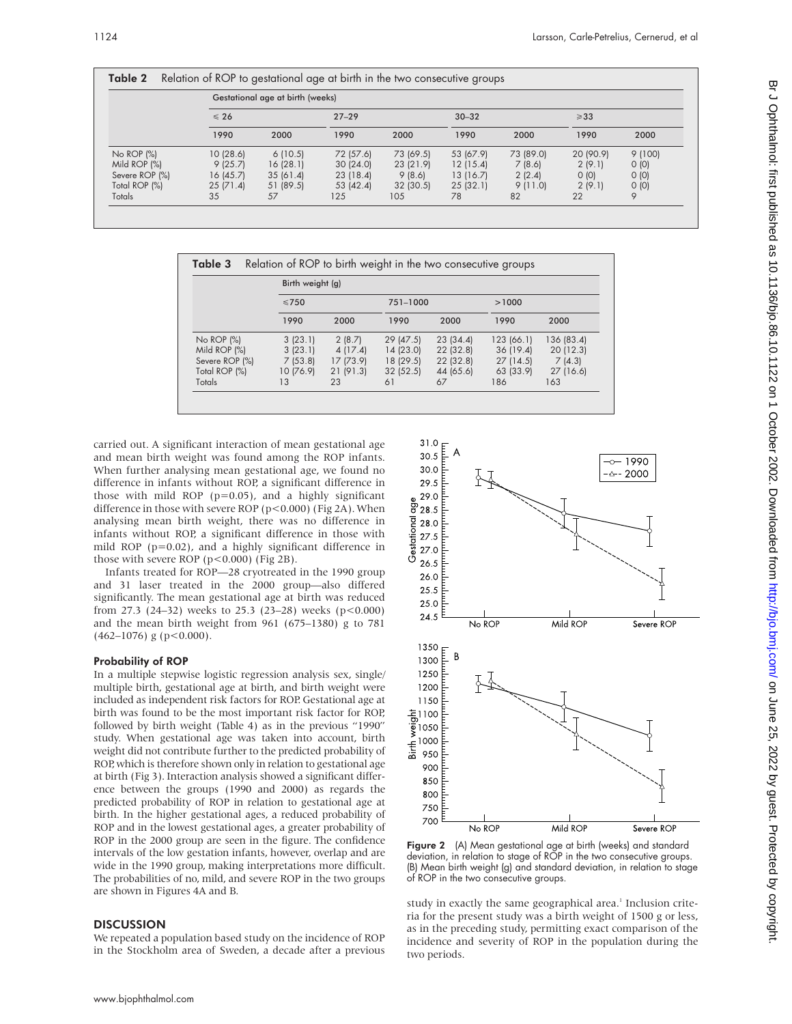|                 | Gestational age at birth (weeks) |           |           |           |           |           |                |        |
|-----------------|----------------------------------|-----------|-----------|-----------|-----------|-----------|----------------|--------|
|                 | $\leqslant$ 26                   |           | $27 - 29$ |           | $30 - 32$ |           | $\geqslant$ 33 |        |
|                 | 1990                             | 2000      | 1990      | 2000      | 1990      | 2000      | 1990           | 2000   |
| No ROP (%)      | 10(28.6)                         | 6(10.5)   | 72 (57.6) | 73 (69.5) | 53 (67.9) | 73 (89.0) | 20 (90.9)      | 9(100) |
| Mild ROP $(\%)$ | 9(25.7)                          | 16(28.1)  | 30(24.0)  | 23 (21.9) | 12(15.4)  | 7(8.6)    | 2(9.1)         | 0(0)   |
| Severe ROP (%)  | 16(45.7)                         | 35(61.4)  | 23(18.4)  | 9(8.6)    | 13(16.7)  | 2(2.4)    | 0(0)           | O(0)   |
| Total ROP (%)   | 25(71.4)                         | 51 (89.5) | 53 (42.4) | 32(30.5)  | 25(32.1)  | 9(11.0)   | 2(9.1)         | O(0)   |
| Totals          | 35                               | 57        | 125       | 105       | 78        | 82        | 22             | 9      |

|                 | Birth weight (g) |           |          |           |            |            |
|-----------------|------------------|-----------|----------|-----------|------------|------------|
|                 | $\leq 750$       |           | 751-1000 |           | >1000      |            |
|                 | 1990             | 2000      | 1990     | 2000      | 1990       | 2000       |
| No ROP (%)      | 3(23.1)          | 2(8.7)    | 29(47.5) | 23(34.4)  | 123 (66.1) | 136 (83.4) |
| Mild ROP $(\%)$ | 3(23.1)          | 4(17.4)   | 14(23.0) | 22 (32.8) | 36(19.4)   | 20(12.3)   |
| Severe ROP (%)  | 7(53.8)          | 17 (73.9) | 18(29.5) | 22 (32.8) | 27(14.5)   | 7(4.3)     |
| Total ROP (%)   | 10 (76.9)        | 21(91.3)  | 32(52.5) | 44 (65.6) | 63 (33.9)  | 27 (16.6)  |
| Totals          | 13               | 23        | 61       | 67        | 186        | 163        |

carried out. A significant interaction of mean gestational age and mean birth weight was found among the ROP infants. When further analysing mean gestational age, we found no difference in infants without ROP, a significant difference in those with mild ROP ( $p=0.05$ ), and a highly significant difference in those with severe ROP ( $p < 0.000$ ) (Fig 2A). When analysing mean birth weight, there was no difference in infants without ROP, a significant difference in those with mild ROP (p=0.02), and a highly significant difference in those with severe ROP ( $p < 0.000$ ) (Fig 2B).

Infants treated for ROP—28 cryotreated in the 1990 group and 31 laser treated in the 2000 group—also differed significantly. The mean gestational age at birth was reduced from 27.3 (24–32) weeks to 25.3 (23–28) weeks (p<0.000) and the mean birth weight from 961 (675–1380) g to 781  $(462-1076)$  g (p < 0.000).

# Probability of ROP

In a multiple stepwise logistic regression analysis sex, single/ multiple birth, gestational age at birth, and birth weight were included as independent risk factors for ROP. Gestational age at birth was found to be the most important risk factor for ROP, followed by birth weight (Table 4) as in the previous "1990" study. When gestational age was taken into account, birth weight did not contribute further to the predicted probability of ROP, which is therefore shown only in relation to gestational age at birth (Fig 3). Interaction analysis showed a significant difference between the groups (1990 and 2000) as regards the predicted probability of ROP in relation to gestational age at birth. In the higher gestational ages, a reduced probability of ROP and in the lowest gestational ages, a greater probability of ROP in the 2000 group are seen in the figure. The confidence intervals of the low gestation infants, however, overlap and are wide in the 1990 group, making interpretations more difficult. The probabilities of no, mild, and severe ROP in the two groups are shown in Figures 4A and B.

# **DISCUSSION**

We repeated a population based study on the incidence of ROP in the Stockholm area of Sweden, a decade after a previous



Figure 2 (A) Mean gestational age at birth (weeks) and standard deviation, in relation to stage of ROP in the two consecutive groups. (B) Mean birth weight (g) and standard deviation, in relation to stage of ROP in the two consecutive groups.

study in exactly the same geographical area.<sup>1</sup> Inclusion criteria for the present study was a birth weight of 1500 g or less, as in the preceding study, permitting exact comparison of the incidence and severity of ROP in the population during the two periods.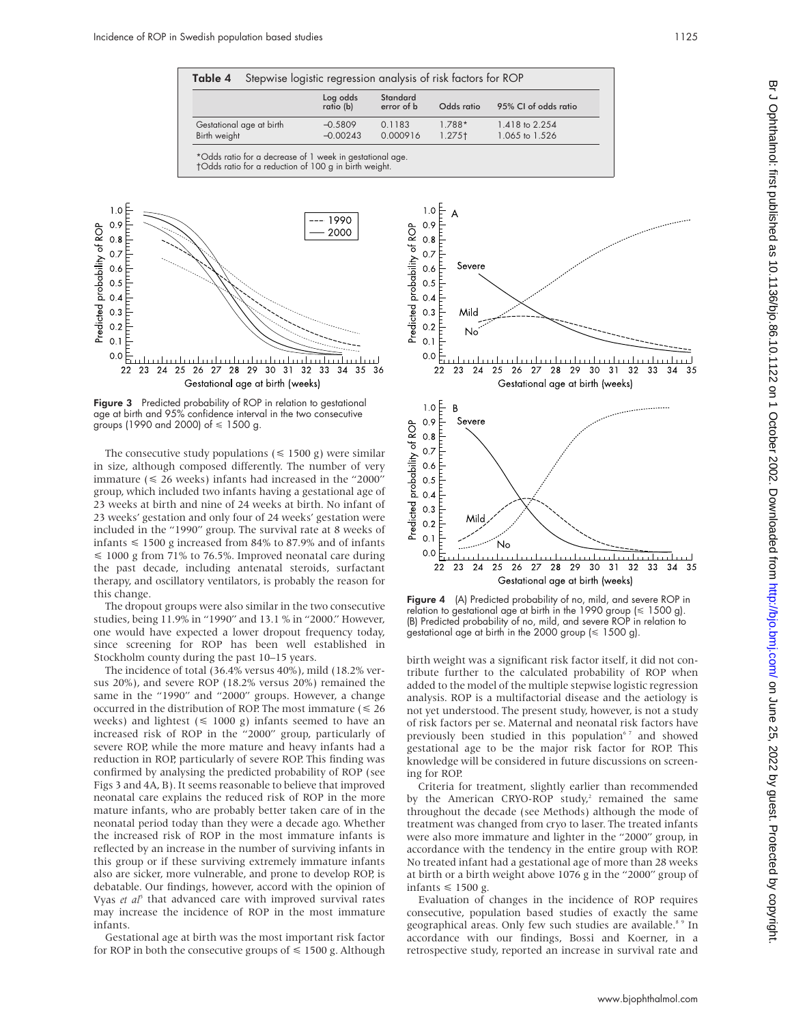| Stepwise logistic regression analysis of risk factors for ROP<br>Table 4 |                          |                         |                        |                                |                                  |  |  |
|--------------------------------------------------------------------------|--------------------------|-------------------------|------------------------|--------------------------------|----------------------------------|--|--|
|                                                                          |                          | Log odds<br>ratio (b)   | Standard<br>error of b | Odds ratio                     | 95% CI of odds ratio             |  |  |
| Birth weight                                                             | Gestational age at birth | $-0.5809$<br>$-0.00243$ | 0.1183<br>0.000916     | $1.788*$<br>1.275 <sup>†</sup> | 1.418 to 2.254<br>1.065 to 1.526 |  |  |
| *Odds ratio for a decrease of 1 week in gestational age.                 |                          |                         |                        |                                |                                  |  |  |

†Odds ratio for a reduction of 100 g in birth weight.



Figure 3 Predicted probability of ROP in relation to gestational age at birth and 95% confidence interval in the two consecutive groups (1990 and 2000) of < 1500 g.

The consecutive study populations ( $\leq$  1500 g) were similar in size, although composed differently. The number of very immature  $(\leq 26$  weeks) infants had increased in the "2000" group, which included two infants having a gestational age of 23 weeks at birth and nine of 24 weeks at birth. No infant of 23 weeks' gestation and only four of 24 weeks' gestation were included in the "1990" group. The survival rate at 8 weeks of infants  $\leq 1500$  g increased from 84% to 87.9% and of infants  $\leq$  1000 g from 71% to 76.5%. Improved neonatal care during the past decade, including antenatal steroids, surfactant therapy, and oscillatory ventilators, is probably the reason for this change.

The dropout groups were also similar in the two consecutive studies, being 11.9% in "1990" and 13.1 % in "2000." However, one would have expected a lower dropout frequency today, since screening for ROP has been well established in Stockholm county during the past 10–15 years.

The incidence of total (36.4% versus 40%), mild (18.2% versus 20%), and severe ROP (18.2% versus 20%) remained the same in the "1990" and "2000" groups. However, a change occurred in the distribution of ROP. The most immature  $(\leq 26)$ weeks) and lightest  $(\leq 1000 \text{ g})$  infants seemed to have an increased risk of ROP in the "2000" group, particularly of severe ROP, while the more mature and heavy infants had a reduction in ROP, particularly of severe ROP. This finding was confirmed by analysing the predicted probability of ROP (see Figs 3 and 4A, B). It seems reasonable to believe that improved neonatal care explains the reduced risk of ROP in the more mature infants, who are probably better taken care of in the neonatal period today than they were a decade ago. Whether the increased risk of ROP in the most immature infants is reflected by an increase in the number of surviving infants in this group or if these surviving extremely immature infants also are sicker, more vulnerable, and prone to develop ROP, is debatable. Our findings, however, accord with the opinion of Vyas *et al*<sup>5</sup> that advanced care with improved survival rates may increase the incidence of ROP in the most immature infants.

Gestational age at birth was the most important risk factor for ROP in both the consecutive groups of  $\leq 1500$  g. Although



Figure 4 (A) Predicted probability of no, mild, and severe ROP in relation to gestational age at birth in the 1990 group  $(\leq 1500 \text{ g})$ . (B) Predicted probability of no, mild, and severe ROP in relation to gestational age at birth in the 2000 group (< 1500 g).

birth weight was a significant risk factor itself, it did not contribute further to the calculated probability of ROP when added to the model of the multiple stepwise logistic regression analysis. ROP is a multifactorial disease and the aetiology is not yet understood. The present study, however, is not a study of risk factors per se. Maternal and neonatal risk factors have previously been studied in this population<sup>67</sup> and showed gestational age to be the major risk factor for ROP. This knowledge will be considered in future discussions on screening for ROP.

Criteria for treatment, slightly earlier than recommended by the American CRYO-ROP study,<sup>2</sup> remained the same throughout the decade (see Methods) although the mode of treatment was changed from cryo to laser. The treated infants were also more immature and lighter in the "2000" group, in accordance with the tendency in the entire group with ROP. No treated infant had a gestational age of more than 28 weeks at birth or a birth weight above 1076 g in the "2000" group of infants  $\leq 1500$  g.

Evaluation of changes in the incidence of ROP requires consecutive, population based studies of exactly the same geographical areas. Only few such studies are available.<sup>89</sup> In accordance with our findings, Bossi and Koerner, in a retrospective study, reported an increase in survival rate and